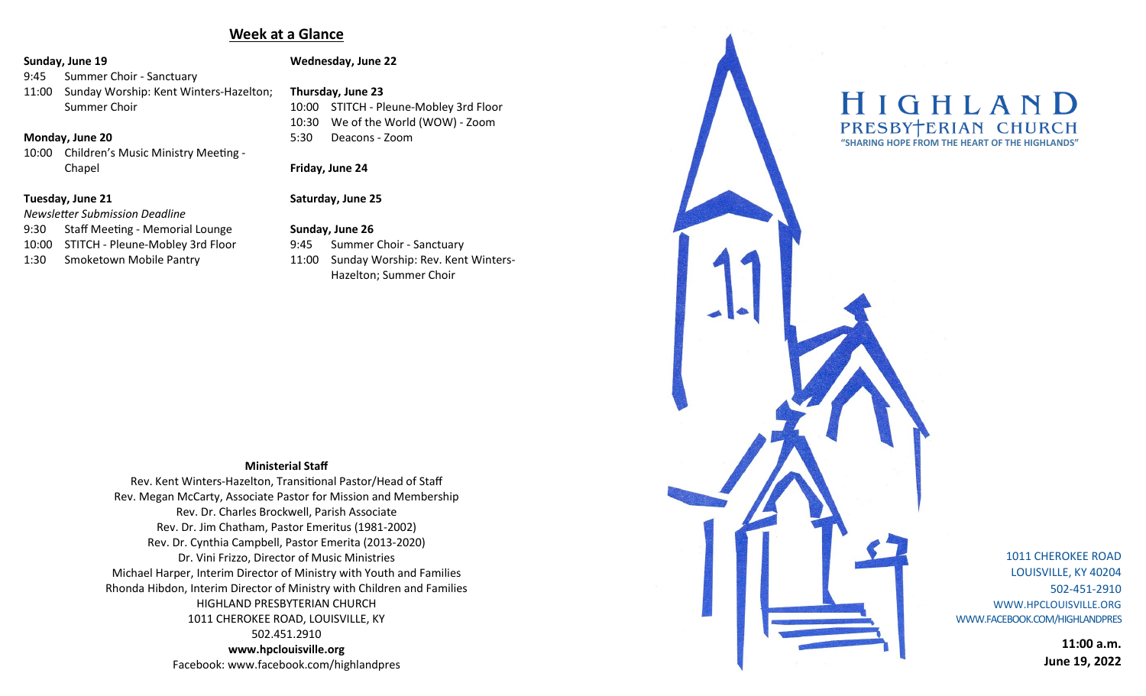# **Week at a Glance**

#### **Sunday, June 19**

- 9:45 Summer Choir Sanctuary
- 11:00 Sunday Worship: Kent Winters-Hazelton; Summer Choir

#### **Monday, June 20**

10:00 Children's Music Ministry Meeting - Chapel

## **Tuesday, June 21**

#### *Newsletter Submission Deadline*

- 9:30 Staff Meeting Memorial Lounge
- 10:00 STITCH Pleune-Mobley 3rd Floor
- 1:30 Smoketown Mobile Pantry

# **Wednesday, June 22**

# **Thursday, June 23**

10:00 STITCH - Pleune-Mobley 3rd Floor 10:30 We of the World (WOW) - Zoom 5:30 Deacons - Zoom

#### **Friday, June 24**

## **Saturday, June 25**

# **Sunday, June 26**

9:45 Summer Choir - Sanctuary 11:00 Sunday Worship: Rev. Kent Winters-Hazelton; Summer Choir

#### **Ministerial Staff**

Rev. Kent Winters-Hazelton, Transitional Pastor/Head of Staff Rev. Megan McCarty, Associate Pastor for Mission and Membership Rev. Dr. Charles Brockwell, Parish Associate Rev. Dr. Jim Chatham, Pastor Emeritus (1981-2002) Rev. Dr. Cynthia Campbell, Pastor Emerita (2013-2020) Dr. Vini Frizzo, Director of Music Ministries Michael Harper, Interim Director of Ministry with Youth and Families Rhonda Hibdon, Interim Director of Ministry with Children and Families HIGHLAND PRESBYTERIAN CHURCH 1011 CHEROKEE ROAD, LOUISVILLE, KY 502.451.2910 **www.hpclouisville.org** 

Facebook: www.facebook.com/highlandpres



1011 CHEROKEE ROAD LOUISVILLE, KY 40204 502-451-2910 WWW.HPCLOUISVILLE.ORG WWW.FACEBOOK.COM/HIGHLANDPRES

> **11:00 a.m. June 19, 2022**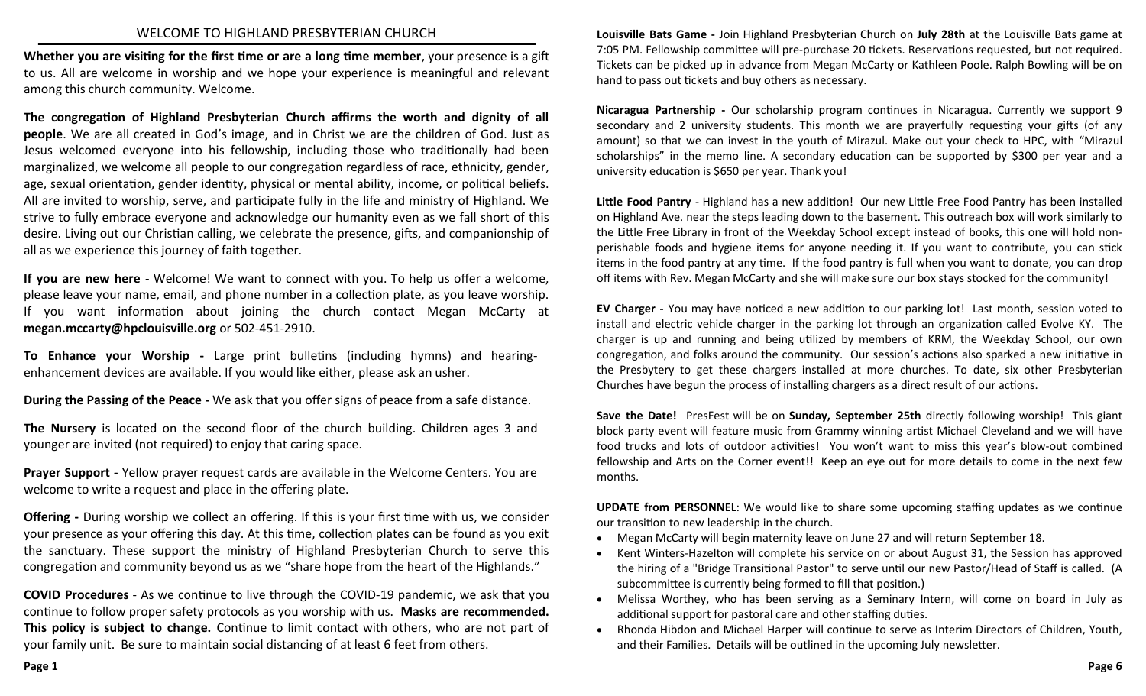## WELCOME TO HIGHLAND PRESBYTERIAN CHURCH

**Whether you are visiting for the first time or are a long time member**, your presence is a gift to us. All are welcome in worship and we hope your experience is meaningful and relevant among this church community. Welcome.

**The congregation of Highland Presbyterian Church affirms the worth and dignity of all people**. We are all created in God's image, and in Christ we are the children of God. Just as Jesus welcomed everyone into his fellowship, including those who traditionally had been marginalized, we welcome all people to our congregation regardless of race, ethnicity, gender, age, sexual orientation, gender identity, physical or mental ability, income, or political beliefs. All are invited to worship, serve, and participate fully in the life and ministry of Highland. We strive to fully embrace everyone and acknowledge our humanity even as we fall short of this desire. Living out our Christian calling, we celebrate the presence, gifts, and companionship of all as we experience this journey of faith together.

**If you are new here** - Welcome! We want to connect with you. To help us offer a welcome, please leave your name, email, and phone number in a collection plate, as you leave worship. If you want information about joining the church contact Megan McCarty at **megan.mccarty[@hpclouisville.org](mailto:cynthia.campbell@hpclouisville.org)** or 502-451-2910.

**To Enhance your Worship -** Large print bulletins (including hymns) and hearingenhancement devices are available. If you would like either, please ask an usher.

**During the Passing of the Peace -** We ask that you offer signs of peace from a safe distance.

**The Nursery** is located on the second floor of the church building. Children ages 3 and younger are invited (not required) to enjoy that caring space.

**Prayer Support -** Yellow prayer request cards are available in the Welcome Centers. You are welcome to write a request and place in the offering plate.

**Offering -** During worship we collect an offering. If this is your first time with us, we consider your presence as your offering this day. At this time, collection plates can be found as you exit the sanctuary. These support the ministry of Highland Presbyterian Church to serve this congregation and community beyond us as we "share hope from the heart of the Highlands."

**COVID Procedures** - As we continue to live through the COVID-19 pandemic, we ask that you continue to follow proper safety protocols as you worship with us. **Masks are recommended. This policy is subject to change.** Continue to limit contact with others, who are not part of your family unit. Be sure to maintain social distancing of at least 6 feet from others.

**Louisville Bats Game -** Join Highland Presbyterian Church on **July 28th** at the Louisville Bats game at 7:05 PM. Fellowship committee will pre-purchase 20 tickets. Reservations requested, but not required. Tickets can be picked up in advance from Megan McCarty or Kathleen Poole. Ralph Bowling will be on hand to pass out tickets and buy others as necessary.

**Nicaragua Partnership -** Our scholarship program continues in Nicaragua. Currently we support 9 secondary and 2 university students. This month we are prayerfully requesting your gifts (of any amount) so that we can invest in the youth of Mirazul. Make out your check to HPC, with "Mirazul scholarships" in the memo line. A secondary education can be supported by \$300 per year and a university education is \$650 per year. Thank you!

**Little Food Pantry** - Highland has a new addition! Our new Little Free Food Pantry has been installed on Highland Ave. near the steps leading down to the basement. This outreach box will work similarly to the Little Free Library in front of the Weekday School except instead of books, this one will hold nonperishable foods and hygiene items for anyone needing it. If you want to contribute, you can stick items in the food pantry at any time. If the food pantry is full when you want to donate, you can drop off items with Rev. Megan McCarty and she will make sure our box stays stocked for the community!

**EV Charger -** You may have noticed a new addition to our parking lot! Last month, session voted to install and electric vehicle charger in the parking lot through an organization called Evolve KY. The charger is up and running and being utilized by members of KRM, the Weekday School, our own congregation, and folks around the community. Our session's actions also sparked a new initiative in the Presbytery to get these chargers installed at more churches. To date, six other Presbyterian Churches have begun the process of installing chargers as a direct result of our actions.

**Save the Date!** PresFest will be on **Sunday, September 25th** directly following worship! This giant block party event will feature music from Grammy winning artist Michael Cleveland and we will have food trucks and lots of outdoor activities! You won't want to miss this year's blow-out combined fellowship and Arts on the Corner event!! Keep an eye out for more details to come in the next few months.

**UPDATE from PERSONNEL**: We would like to share some upcoming staffing updates as we continue our transition to new leadership in the church.

- Megan McCarty will begin maternity leave on June 27 and will return September 18.
- Kent Winters-Hazelton will complete his service on or about August 31, the Session has approved the hiring of a "Bridge Transitional Pastor" to serve until our new Pastor/Head of Staff is called. (A subcommittee is currently being formed to fill that position.)
- Melissa Worthey, who has been serving as a Seminary Intern, will come on board in July as additional support for pastoral care and other staffing duties.
- Rhonda Hibdon and Michael Harper will continue to serve as Interim Directors of Children, Youth, and their Families. Details will be outlined in the upcoming July newsletter.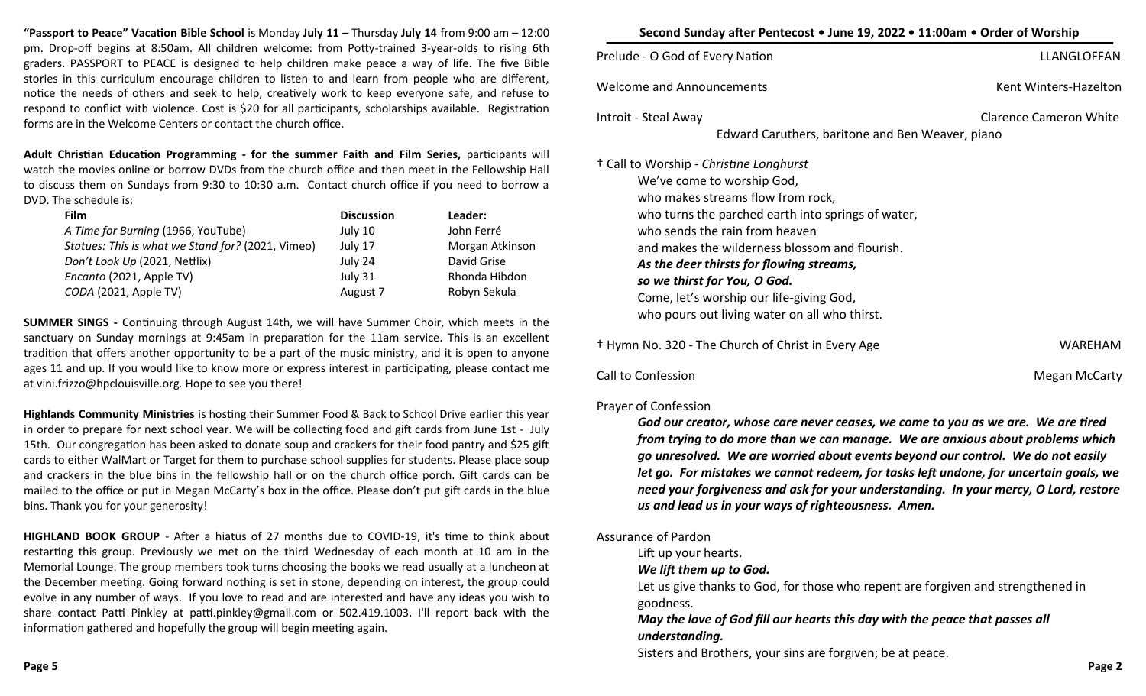**"Passport to Peace" Vacation Bible School** is Monday **July 11** – Thursday **July 14** from 9:00 am – 12:00 pm. Drop-off begins at 8:50am. All children welcome: from Potty-trained 3-year-olds to rising 6th graders. PASSPORT to PEACE is designed to help children make peace a way of life. The five Bible stories in this curriculum encourage children to listen to and learn from people who are different, notice the needs of others and seek to help, creatively work to keep everyone safe, and refuse to respond to conflict with violence. Cost is \$20 for all participants, scholarships available. Registration forms are in the Welcome Centers or contact the church office.

**Adult Christian Education Programming - for the summer Faith and Film Series,** participants will watch the movies online or borrow DVDs from the church office and then meet in the Fellowship Hall to discuss them on Sundays from 9:30 to 10:30 a.m. Contact church office if you need to borrow a DVD. The schedule is:

| <b>Film</b>                                       | <b>Discussion</b> | Leader:         |  |
|---------------------------------------------------|-------------------|-----------------|--|
| A Time for Burning (1966, YouTube)                | July 10           | John Ferré      |  |
| Statues: This is what we Stand for? (2021, Vimeo) | July 17           | Morgan Atkinson |  |
| Don't Look Up (2021, Netflix)                     | July 24           | David Grise     |  |
| Encanto (2021, Apple TV)                          | July 31           | Rhonda Hibdon   |  |
| CODA (2021, Apple TV)                             | August 7          | Robyn Sekula    |  |

**SUMMER SINGS -** Continuing through August 14th, we will have Summer Choir, which meets in the sanctuary on Sunday mornings at 9:45am in preparation for the 11am service. This is an excellent tradition that offers another opportunity to be a part of the music ministry, and it is open to anyone ages 11 and up. If you would like to know more or express interest in participating, please contact me at vini.frizzo@hpclouisville.org. Hope to see you there!

**Highlands Community Ministries** is hosting their Summer Food & Back to School Drive earlier this year in order to prepare for next school year. We will be collecting food and gift cards from June 1st - July 15th. Our congregation has been asked to donate soup and crackers for their food pantry and \$25 gift cards to either WalMart or Target for them to purchase school supplies for students. Please place soup and crackers in the blue bins in the fellowship hall or on the church office porch. Gift cards can be mailed to the office or put in Megan McCarty's box in the office. Please don't put gift cards in the blue bins. Thank you for your generosity!

**HIGHLAND BOOK GROUP** - After a hiatus of 27 months due to COVID-19, it's time to think about restarting this group. Previously we met on the third Wednesday of each month at 10 am in the Memorial Lounge. The group members took turns choosing the books we read usually at a luncheon at the December meeting. Going forward nothing is set in stone, depending on interest, the group could evolve in any number of ways. If you love to read and are interested and have any ideas you wish to share contact Patti Pinkley at patti.pinkley@gmail.com or 502.419.1003. I'll report back with the information gathered and hopefully the group will begin meeting again.

| Second Sunday after Pentecost • June 19, 2022 • 11:00am • Order of Worship                                                                                                                                                                                                                                                                                                                                                               |                               |  |  |  |
|------------------------------------------------------------------------------------------------------------------------------------------------------------------------------------------------------------------------------------------------------------------------------------------------------------------------------------------------------------------------------------------------------------------------------------------|-------------------------------|--|--|--|
| Prelude - O God of Every Nation                                                                                                                                                                                                                                                                                                                                                                                                          | LLANGLOFFAN                   |  |  |  |
| <b>Welcome and Announcements</b>                                                                                                                                                                                                                                                                                                                                                                                                         | Kent Winters-Hazelton         |  |  |  |
| Introit - Steal Away                                                                                                                                                                                                                                                                                                                                                                                                                     | <b>Clarence Cameron White</b> |  |  |  |
| Edward Caruthers, baritone and Ben Weaver, piano                                                                                                                                                                                                                                                                                                                                                                                         |                               |  |  |  |
| <sup>†</sup> Call to Worship - Christine Longhurst<br>We've come to worship God,<br>who makes streams flow from rock,<br>who turns the parched earth into springs of water,<br>who sends the rain from heaven<br>and makes the wilderness blossom and flourish.<br>As the deer thirsts for flowing streams,<br>so we thirst for You, O God.<br>Come, let's worship our life-giving God,<br>who pours out living water on all who thirst. |                               |  |  |  |
| <sup>†</sup> Hymn No. 320 - The Church of Christ in Every Age                                                                                                                                                                                                                                                                                                                                                                            | WAREHAM                       |  |  |  |

Call to Confession **Megan McCarty** Call to Confession

# Prayer of Confession

*God our creator, whose care never ceases, we come to you as we are. We are tired from trying to do more than we can manage. We are anxious about problems which go unresolved. We are worried about events beyond our control. We do not easily let go. For mistakes we cannot redeem, for tasks left undone, for uncertain goals, we need your forgiveness and ask for your understanding. In your mercy, O Lord, restore us and lead us in your ways of righteousness. Amen.*

## Assurance of Pardon

Lift up your hearts.

## *We lift them up to God.*

Let us give thanks to God, for those who repent are forgiven and strengthened in goodness.

# *May the love of God fill our hearts this day with the peace that passes all understanding.*

Sisters and Brothers, your sins are forgiven; be at peace.